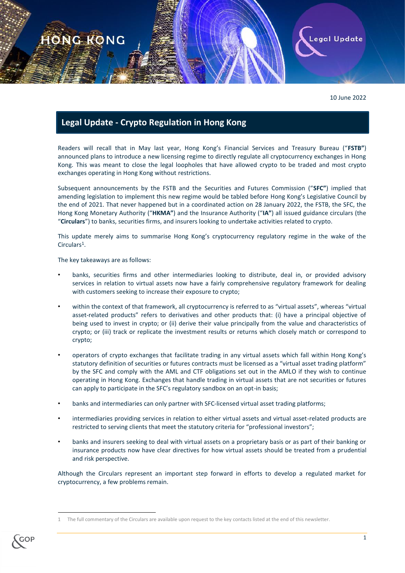

10 June 2022

## **Legal Update - Crypto Regulation in Hong Kong**

Readers will recall that in May last year, Hong Kong's Financial Services and Treasury Bureau ("**FSTB"**) announced plans to introduce a new licensing regime to directly regulate all cryptocurrency exchanges in Hong Kong. This was meant to close the legal loopholes that have allowed crypto to be traded and most crypto exchanges operating in Hong Kong without restrictions.

Subsequent announcements by the FSTB and the Securities and Futures Commission ("**SFC"**) implied that amending legislation to implement this new regime would be tabled before Hong Kong's Legislative Council by the end of 2021. That never happened but in a coordinated action on 28 January 2022, the FSTB, the SFC, the Hong Kong Monetary Authority ("**HKMA"**) and the Insurance Authority ("**IA"**) all issued guidance circulars (the "**Circulars**") to banks, securities firms, and insurers looking to undertake activities related to crypto.

This update merely aims to summarise Hong Kong's cryptocurrency regulatory regime in the wake of the Circulars<sup>1</sup>.

The key takeaways are as follows:

- banks, securities firms and other intermediaries looking to distribute, deal in, or provided advisory services in relation to virtual assets now have a fairly comprehensive regulatory framework for dealing with customers seeking to increase their exposure to crypto;
- within the context of that framework, all cryptocurrency is referred to as "virtual assets", whereas "virtual asset-related products" refers to derivatives and other products that: (i) have a principal objective of being used to invest in crypto; or (ii) derive their value principally from the value and characteristics of crypto; or (iii) track or replicate the investment results or returns which closely match or correspond to crypto;
- operators of crypto exchanges that facilitate trading in any virtual assets which fall within Hong Kong's statutory definition of securities or futures contracts must be licensed as a "virtual asset trading platform" by the SFC and comply with the AML and CTF obligations set out in the AMLO if they wish to continue operating in Hong Kong. Exchanges that handle trading in virtual assets that are not securities or futures can apply to participate in the SFC's regulatory sandbox on an opt-in basis;
- banks and intermediaries can only partner with SFC-licensed virtual asset trading platforms;
- intermediaries providing services in relation to either virtual assets and virtual asset-related products are restricted to serving clients that meet the statutory criteria for "professional investors";
- banks and insurers seeking to deal with virtual assets on a proprietary basis or as part of their banking or insurance products now have clear directives for how virtual assets should be treated from a prudential and risk perspective.

Although the Circulars represent an important step forward in efforts to develop a regulated market for cryptocurrency, a few problems remain.

<sup>1</sup> The full commentary of the Circulars are available upon request to the key contacts listed at the end of this newsletter.



**.**